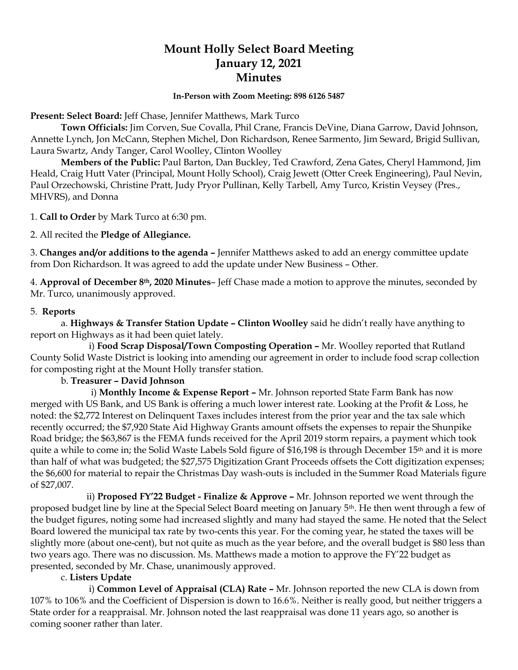# **Mount Holly Select Board Meeting January 12, 2021 Minutes**

#### **In-Person with Zoom Meeting: 898 6126 5487**

**Present: Select Board:** Jeff Chase, Jennifer Matthews, Mark Turco

**Town Officials:** Jim Corven, Sue Covalla, Phil Crane, Francis DeVine, Diana Garrow, David Johnson, Annette Lynch, Jon McCann, Stephen Michel, Don Richardson, Renee Sarmento, Jim Seward, Brigid Sullivan, Laura Swartz, Andy Tanger, Carol Woolley, Clinton Woolley

**Members of the Public:** Paul Barton, Dan Buckley, Ted Crawford, Zena Gates, Cheryl Hammond, Jim Heald, Craig Hutt Vater (Principal, Mount Holly School), Craig Jewett (Otter Creek Engineering), Paul Nevin, Paul Orzechowski, Christine Pratt, Judy Pryor Pullinan, Kelly Tarbell, Amy Turco, Kristin Veysey (Pres., MHVRS), and Donna

1. **Call to Order** by Mark Turco at 6:30 pm.

2. All recited the **Pledge of Allegiance.**

3. **Changes and/or additions to the agenda –** Jennifer Matthews asked to add an energy committee update from Don Richardson. It was agreed to add the update under New Business – Other.

4. **Approval of December 8th, 2020 Minutes**– Jeff Chase made a motion to approve the minutes, seconded by Mr. Turco, unanimously approved.

### 5. **Reports**

a. **Highways & Transfer Station Update – Clinton Woolley** said he didn't really have anything to report on Highways as it had been quiet lately.

 i) **Food Scrap Disposal/Town Composting Operation –** Mr. Woolley reported that Rutland County Solid Waste District is looking into amending our agreement in order to include food scrap collection for composting right at the Mount Holly transfer station.

## b. **Treasurer – David Johnson**

 i) **Monthly Income & Expense Report –** Mr. Johnson reported State Farm Bank has now merged with US Bank, and US Bank is offering a much lower interest rate. Looking at the Profit & Loss, he noted: the \$2,772 Interest on Delinquent Taxes includes interest from the prior year and the tax sale which recently occurred; the \$7,920 State Aid Highway Grants amount offsets the expenses to repair the Shunpike Road bridge; the \$63,867 is the FEMA funds received for the April 2019 storm repairs, a payment which took quite a while to come in; the Solid Waste Labels Sold figure of \$16,198 is through December 15<sup>th</sup> and it is more than half of what was budgeted; the \$27,575 Digitization Grant Proceeds offsets the Cott digitization expenses; the \$6,600 for material to repair the Christmas Day wash-outs is included in the Summer Road Materials figure of \$27,007.

 ii) **Proposed FY'22 Budget - Finalize & Approve –** Mr. Johnson reported we went through the proposed budget line by line at the Special Select Board meeting on January 5th. He then went through a few of the budget figures, noting some had increased slightly and many had stayed the same. He noted that the Select Board lowered the municipal tax rate by two-cents this year. For the coming year, he stated the taxes will be slightly more (about one-cent), but not quite as much as the year before, and the overall budget is \$80 less than two years ago. There was no discussion. Ms. Matthews made a motion to approve the FY'22 budget as presented, seconded by Mr. Chase, unanimously approved.

## c. **Listers Update**

 i) **Common Level of Appraisal (CLA) Rate –** Mr. Johnson reported the new CLA is down from 107% to 106% and the Coefficient of Dispersion is down to 16.6%. Neither is really good, but neither triggers a State order for a reappraisal. Mr. Johnson noted the last reappraisal was done 11 years ago, so another is coming sooner rather than later.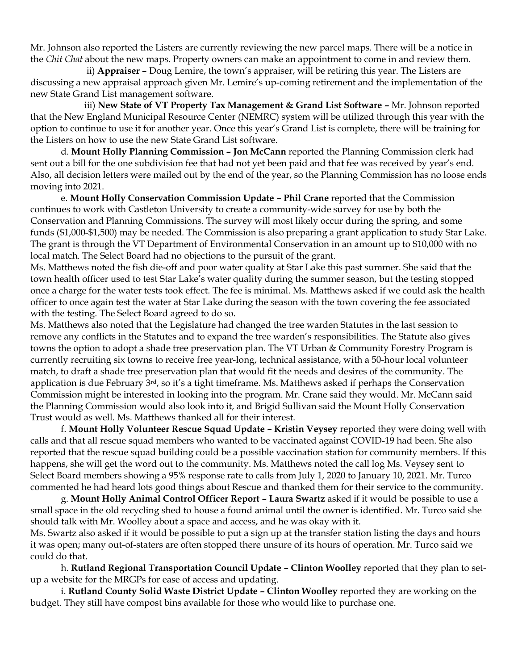Mr. Johnson also reported the Listers are currently reviewing the new parcel maps. There will be a notice in the *Chit Chat* about the new maps. Property owners can make an appointment to come in and review them.

 ii) **Appraiser –** Doug Lemire, the town's appraiser, will be retiring this year. The Listers are discussing a new appraisal approach given Mr. Lemire's up-coming retirement and the implementation of the new State Grand List management software.

iii) **New State of VT Property Tax Management & Grand List Software – Mr. Johnson reported** that the New England Municipal Resource Center (NEMRC) system will be utilized through this year with the option to continue to use it for another year. Once this year's Grand List is complete, there will be training for the Listers on how to use the new State Grand List software.

d. **Mount Holly Planning Commission – Jon McCann** reported the Planning Commission clerk had sent out a bill for the one subdivision fee that had not yet been paid and that fee was received by year's end. Also, all decision letters were mailed out by the end of the year, so the Planning Commission has no loose ends moving into 2021.

e. **Mount Holly Conservation Commission Update – Phil Crane** reported that the Commission continues to work with Castleton University to create a community-wide survey for use by both the Conservation and Planning Commissions. The survey will most likely occur during the spring, and some funds (\$1,000-\$1,500) may be needed. The Commission is also preparing a grant application to study Star Lake. The grant is through the VT Department of Environmental Conservation in an amount up to \$10,000 with no local match. The Select Board had no objections to the pursuit of the grant.

Ms. Matthews noted the fish die-off and poor water quality at Star Lake this past summer. She said that the town health officer used to test Star Lake's water quality during the summer season, but the testing stopped once a charge for the water tests took effect. The fee is minimal. Ms. Matthews asked if we could ask the health officer to once again test the water at Star Lake during the season with the town covering the fee associated with the testing. The Select Board agreed to do so.

Ms. Matthews also noted that the Legislature had changed the tree warden Statutes in the last session to remove any conflicts in the Statutes and to expand the tree warden's responsibilities. The Statute also gives towns the option to adopt a shade tree preservation plan. The VT Urban & Community Forestry Program is currently recruiting six towns to receive free year-long, technical assistance, with a 50-hour local volunteer match, to draft a shade tree preservation plan that would fit the needs and desires of the community. The application is due February 3rd, so it's a tight timeframe. Ms. Matthews asked if perhaps the Conservation Commission might be interested in looking into the program. Mr. Crane said they would. Mr. McCann said the Planning Commission would also look into it, and Brigid Sullivan said the Mount Holly Conservation Trust would as well. Ms. Matthews thanked all for their interest.

f. **Mount Holly Volunteer Rescue Squad Update – Kristin Veysey** reported they were doing well with calls and that all rescue squad members who wanted to be vaccinated against COVID-19 had been. She also reported that the rescue squad building could be a possible vaccination station for community members. If this happens, she will get the word out to the community. Ms. Matthews noted the call log Ms. Veysey sent to Select Board members showing a 95% response rate to calls from July 1, 2020 to January 10, 2021. Mr. Turco commented he had heard lots good things about Rescue and thanked them for their service to the community.

g. **Mount Holly Animal Control Officer Report – Laura Swartz** asked if it would be possible to use a small space in the old recycling shed to house a found animal until the owner is identified. Mr. Turco said she should talk with Mr. Woolley about a space and access, and he was okay with it.

Ms. Swartz also asked if it would be possible to put a sign up at the transfer station listing the days and hours it was open; many out-of-staters are often stopped there unsure of its hours of operation. Mr. Turco said we could do that.

h. **Rutland Regional Transportation Council Update – Clinton Woolley** reported that they plan to setup a website for the MRGPs for ease of access and updating.

i. **Rutland County Solid Waste District Update – Clinton Woolley** reported they are working on the budget. They still have compost bins available for those who would like to purchase one.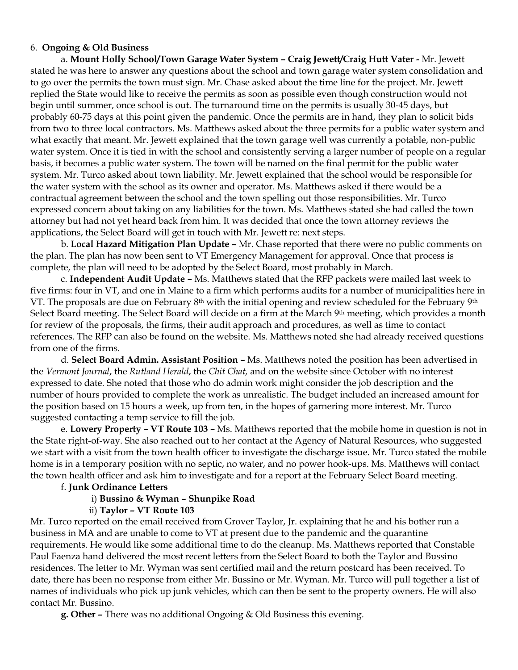### 6. **Ongoing & Old Business**

a. **Mount Holly School/Town Garage Water System – Craig Jewett/Craig Hutt Vater -** Mr. Jewett stated he was here to answer any questions about the school and town garage water system consolidation and to go over the permits the town must sign. Mr. Chase asked about the time line for the project. Mr. Jewett replied the State would like to receive the permits as soon as possible even though construction would not begin until summer, once school is out. The turnaround time on the permits is usually 30-45 days, but probably 60-75 days at this point given the pandemic. Once the permits are in hand, they plan to solicit bids from two to three local contractors. Ms. Matthews asked about the three permits for a public water system and what exactly that meant. Mr. Jewett explained that the town garage well was currently a potable, non-public water system. Once it is tied in with the school and consistently serving a larger number of people on a regular basis, it becomes a public water system. The town will be named on the final permit for the public water system. Mr. Turco asked about town liability. Mr. Jewett explained that the school would be responsible for the water system with the school as its owner and operator. Ms. Matthews asked if there would be a contractual agreement between the school and the town spelling out those responsibilities. Mr. Turco expressed concern about taking on any liabilities for the town. Ms. Matthews stated she had called the town attorney but had not yet heard back from him. It was decided that once the town attorney reviews the applications, the Select Board will get in touch with Mr. Jewett re: next steps.

b. **Local Hazard Mitigation Plan Update –** Mr. Chase reported that there were no public comments on the plan. The plan has now been sent to VT Emergency Management for approval. Once that process is complete, the plan will need to be adopted by the Select Board, most probably in March.

c. **Independent Audit Update –** Ms. Matthews stated that the RFP packets were mailed last week to five firms: four in VT, and one in Maine to a firm which performs audits for a number of municipalities here in VT. The proposals are due on February 8<sup>th</sup> with the initial opening and review scheduled for the February 9<sup>th</sup> Select Board meeting. The Select Board will decide on a firm at the March 9th meeting, which provides a month for review of the proposals, the firms, their audit approach and procedures, as well as time to contact references. The RFP can also be found on the website. Ms. Matthews noted she had already received questions from one of the firms.

d. **Select Board Admin. Assistant Position –** Ms. Matthews noted the position has been advertised in the *Vermont Journal*, the *Rutland Herald*, the *Chit Chat,* and on the website since October with no interest expressed to date. She noted that those who do admin work might consider the job description and the number of hours provided to complete the work as unrealistic. The budget included an increased amount for the position based on 15 hours a week, up from ten, in the hopes of garnering more interest. Mr. Turco suggested contacting a temp service to fill the job.

e. **Lowery Property – VT Route 103 –** Ms. Matthews reported that the mobile home in question is not in the State right-of-way. She also reached out to her contact at the Agency of Natural Resources, who suggested we start with a visit from the town health officer to investigate the discharge issue. Mr. Turco stated the mobile home is in a temporary position with no septic, no water, and no power hook-ups. Ms. Matthews will contact the town health officer and ask him to investigate and for a report at the February Select Board meeting.

## f. **Junk Ordinance Letters**

# i) **Bussino & Wyman – Shunpike Road**

#### ii) **Taylor – VT Route 103**

Mr. Turco reported on the email received from Grover Taylor, Jr. explaining that he and his bother run a business in MA and are unable to come to VT at present due to the pandemic and the quarantine requirements. He would like some additional time to do the cleanup. Ms. Matthews reported that Constable Paul Faenza hand delivered the most recent letters from the Select Board to both the Taylor and Bussino residences. The letter to Mr. Wyman was sent certified mail and the return postcard has been received. To date, there has been no response from either Mr. Bussino or Mr. Wyman. Mr. Turco will pull together a list of names of individuals who pick up junk vehicles, which can then be sent to the property owners. He will also contact Mr. Bussino.

**g. Other –** There was no additional Ongoing & Old Business this evening.